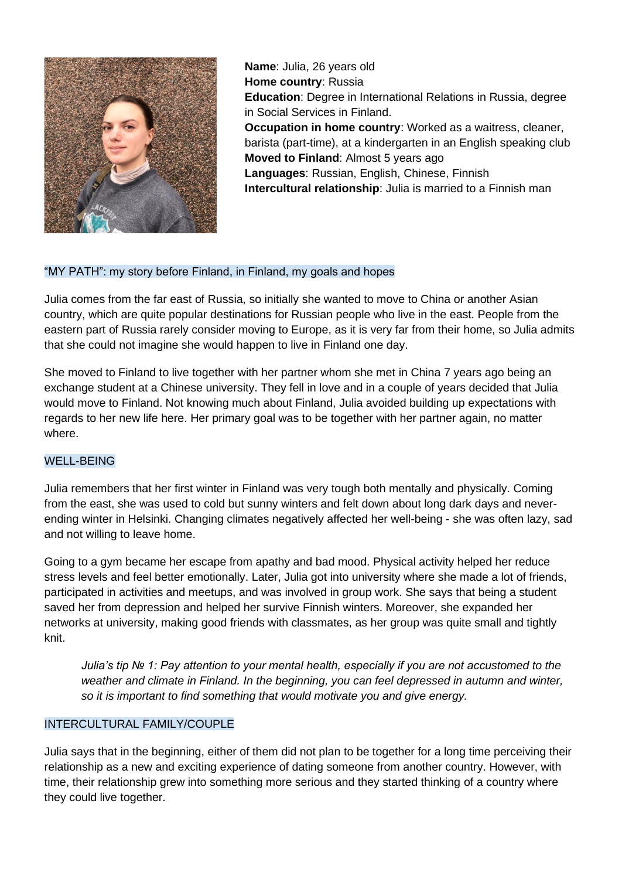

**Name**: Julia, 26 years old **Home country**: Russia **Education**: Degree in International Relations in Russia, degree in Social Services in Finland. **Occupation in home country**: Worked as a waitress, cleaner, barista (part-time), at a kindergarten in an English speaking club **Moved to Finland: Almost 5 years ago Languages**: Russian, English, Chinese, Finnish **Intercultural relationship**: Julia is married to a Finnish man

# "MY PATH": my story before Finland, in Finland, my goals and hopes

Julia comes from the far east of Russia, so initially she wanted to move to China or another Asian country, which are quite popular destinations for Russian people who live in the east. People from the eastern part of Russia rarely consider moving to Europe, as it is very far from their home, so Julia admits that she could not imagine she would happen to live in Finland one day.

She moved to Finland to live together with her partner whom she met in China 7 years ago being an exchange student at a Chinese university. They fell in love and in a couple of years decided that Julia would move to Finland. Not knowing much about Finland, Julia avoided building up expectations with regards to her new life here. Her primary goal was to be together with her partner again, no matter where.

# WELL-BEING

Julia remembers that her first winter in Finland was very tough both mentally and physically. Coming from the east, she was used to cold but sunny winters and felt down about long dark days and neverending winter in Helsinki. Changing climates negatively affected her well-being - she was often lazy, sad and not willing to leave home.

Going to a gym became her escape from apathy and bad mood. Physical activity helped her reduce stress levels and feel better emotionally. Later, Julia got into university where she made a lot of friends, participated in activities and meetups, and was involved in group work. She says that being a student saved her from depression and helped her survive Finnish winters. Moreover, she expanded her networks at university, making good friends with classmates, as her group was quite small and tightly knit.

*Julia's tip № 1: Pay attention to your mental health, especially if you are not accustomed to the weather and climate in Finland. In the beginning, you can feel depressed in autumn and winter, so it is important to find something that would motivate you and give energy.* 

### INTERCULTURAL FAMILY/COUPLE

Julia says that in the beginning, either of them did not plan to be together for a long time perceiving their relationship as a new and exciting experience of dating someone from another country. However, with time, their relationship grew into something more serious and they started thinking of a country where they could live together.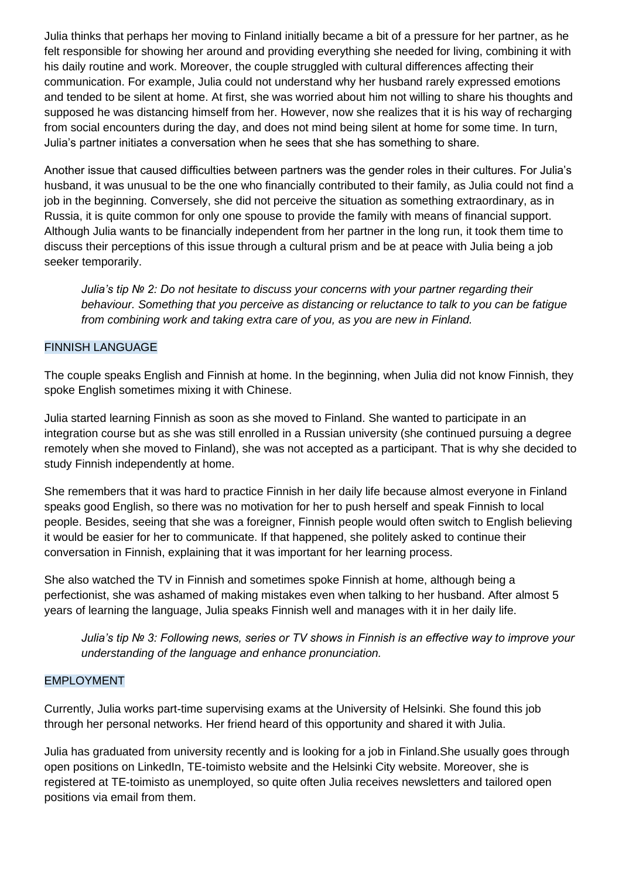Julia thinks that perhaps her moving to Finland initially became a bit of a pressure for her partner, as he felt responsible for showing her around and providing everything she needed for living, combining it with his daily routine and work. Moreover, the couple struggled with cultural differences affecting their communication. For example, Julia could not understand why her husband rarely expressed emotions and tended to be silent at home. At first, she was worried about him not willing to share his thoughts and supposed he was distancing himself from her. However, now she realizes that it is his way of recharging from social encounters during the day, and does not mind being silent at home for some time. In turn, Julia's partner initiates a conversation when he sees that she has something to share.

Another issue that caused difficulties between partners was the gender roles in their cultures. For Julia's husband, it was unusual to be the one who financially contributed to their family, as Julia could not find a job in the beginning. Conversely, she did not perceive the situation as something extraordinary, as in Russia, it is quite common for only one spouse to provide the family with means of financial support. Although Julia wants to be financially independent from her partner in the long run, it took them time to discuss their perceptions of this issue through a cultural prism and be at peace with Julia being a job seeker temporarily.

*Julia's tip № 2: Do not hesitate to discuss your concerns with your partner regarding their behaviour. Something that you perceive as distancing or reluctance to talk to you can be fatigue from combining work and taking extra care of you, as you are new in Finland.* 

# FINNISH LANGUAGE

The couple speaks English and Finnish at home. In the beginning, when Julia did not know Finnish, they spoke English sometimes mixing it with Chinese.

Julia started learning Finnish as soon as she moved to Finland. She wanted to participate in an integration course but as she was still enrolled in a Russian university (she continued pursuing a degree remotely when she moved to Finland), she was not accepted as a participant. That is why she decided to study Finnish independently at home.

She remembers that it was hard to practice Finnish in her daily life because almost everyone in Finland speaks good English, so there was no motivation for her to push herself and speak Finnish to local people. Besides, seeing that she was a foreigner, Finnish people would often switch to English believing it would be easier for her to communicate. If that happened, she politely asked to continue their conversation in Finnish, explaining that it was important for her learning process.

She also watched the TV in Finnish and sometimes spoke Finnish at home, although being a perfectionist, she was ashamed of making mistakes even when talking to her husband. After almost 5 years of learning the language, Julia speaks Finnish well and manages with it in her daily life.

*Julia's tip № 3: Following news, series or TV shows in Finnish is an effective way to improve your understanding of the language and enhance pronunciation.* 

### EMPLOYMENT

Currently, Julia works part-time supervising exams at the University of Helsinki. She found this job through her personal networks. Her friend heard of this opportunity and shared it with Julia.

Julia has graduated from university recently and is looking for a job in Finland.She usually goes through open positions on LinkedIn, TE-toimisto website and the Helsinki City website. Moreover, she is registered at TE-toimisto as unemployed, so quite often Julia receives newsletters and tailored open positions via email from them.